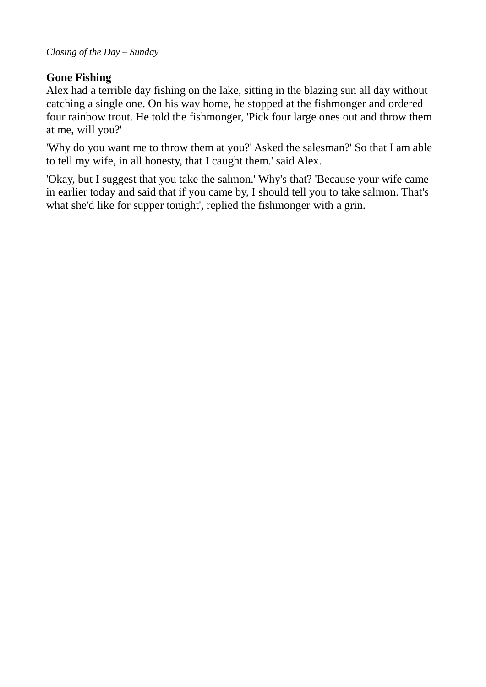# **Gone Fishing**

Alex had a terrible day fishing on the lake, sitting in the blazing sun all day without catching a single one. On his way home, he stopped at the fishmonger and ordered four rainbow trout. He told the fishmonger, 'Pick four large ones out and throw them at me, will you?'

'Why do you want me to throw them at you?' Asked the salesman?' So that I am able to tell my wife, in all honesty, that I caught them.' said Alex.

'Okay, but I suggest that you take the salmon.' Why's that? 'Because your wife came in earlier today and said that if you came by, I should tell you to take salmon. That's what she'd like for supper tonight', replied the fishmonger with a grin.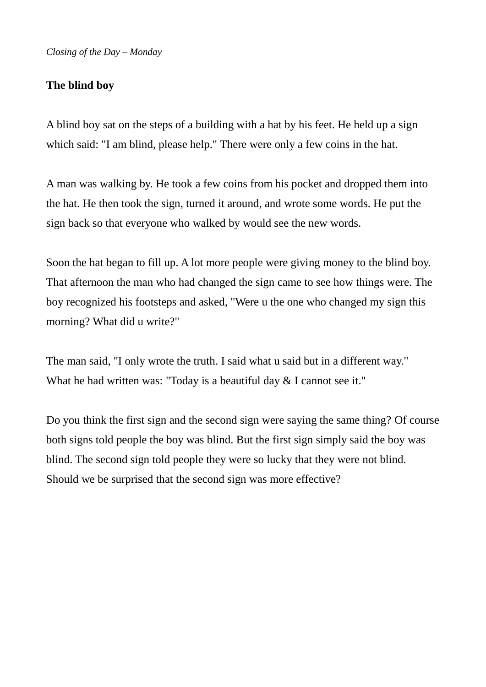# **The blind boy**

A blind boy sat on the steps of a building with a hat by his feet. He held up a sign which said: "I am blind, please help." There were only a few coins in the hat.

A man was walking by. He took a few coins from his pocket and dropped them into the hat. He then took the sign, turned it around, and wrote some words. He put the sign back so that everyone who walked by would see the new words.

Soon the hat began to fill up. A lot more people were giving money to the blind boy. That afternoon the man who had changed the sign came to see how things were. The boy recognized his footsteps and asked, "Were u the one who changed my sign this morning? What did u write?"

The man said, "I only wrote the truth. I said what u said but in a different way." What he had written was: "Today is a beautiful day & I cannot see it."

Do you think the first sign and the second sign were saying the same thing? Of course both signs told people the boy was blind. But the first sign simply said the boy was blind. The second sign told people they were so lucky that they were not blind. Should we be surprised that the second sign was more effective?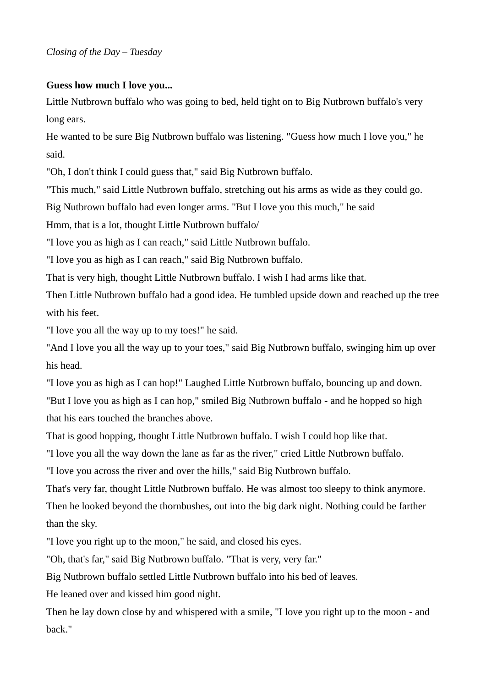## **Guess how much I love you...**

Little Nutbrown buffalo who was going to bed, held tight on to Big Nutbrown buffalo's very long ears.

He wanted to be sure Big Nutbrown buffalo was listening. "Guess how much I love you," he said.

"Oh, I don't think I could guess that," said Big Nutbrown buffalo.

"This much," said Little Nutbrown buffalo, stretching out his arms as wide as they could go.

Big Nutbrown buffalo had even longer arms. "But I love you this much," he said

Hmm, that is a lot, thought Little Nutbrown buffalo/

"I love you as high as I can reach," said Little Nutbrown buffalo.

"I love you as high as I can reach," said Big Nutbrown buffalo.

That is very high, thought Little Nutbrown buffalo. I wish I had arms like that.

Then Little Nutbrown buffalo had a good idea. He tumbled upside down and reached up the tree with his feet.

"I love you all the way up to my toes!" he said.

"And I love you all the way up to your toes," said Big Nutbrown buffalo, swinging him up over his head.

"I love you as high as I can hop!" Laughed Little Nutbrown buffalo, bouncing up and down. "But I love you as high as I can hop," smiled Big Nutbrown buffalo - and he hopped so high that his ears touched the branches above.

That is good hopping, thought Little Nutbrown buffalo. I wish I could hop like that.

"I love you all the way down the lane as far as the river," cried Little Nutbrown buffalo.

"I love you across the river and over the hills," said Big Nutbrown buffalo.

That's very far, thought Little Nutbrown buffalo. He was almost too sleepy to think anymore. Then he looked beyond the thornbushes, out into the big dark night. Nothing could be farther than the sky.

"I love you right up to the moon," he said, and closed his eyes.

"Oh, that's far," said Big Nutbrown buffalo. "That is very, very far."

Big Nutbrown buffalo settled Little Nutbrown buffalo into his bed of leaves.

He leaned over and kissed him good night.

Then he lay down close by and whispered with a smile, "I love you right up to the moon - and back."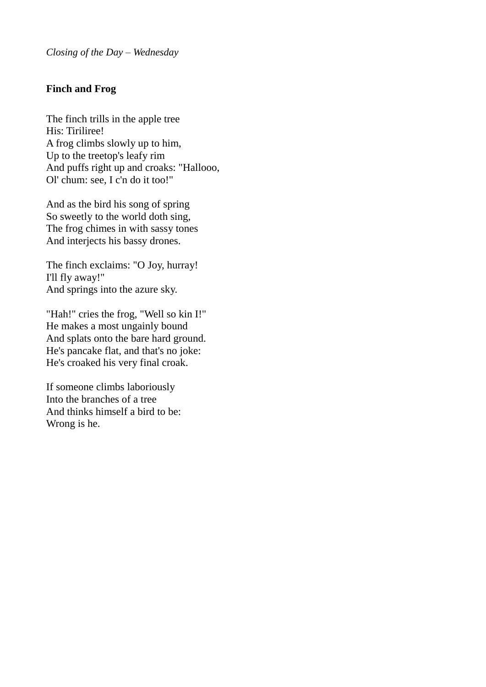## **Finch and Frog**

The finch trills in the apple tree His: Tiriliree! A frog climbs slowly up to him, Up to the treetop's leafy rim And puffs right up and croaks: "Hallooo, Ol' chum: see, I c'n do it too!"

And as the bird his song of spring So sweetly to the world doth sing, The frog chimes in with sassy tones And interjects his bassy drones.

The finch exclaims: "O Joy, hurray! I'll fly away!" And springs into the azure sky.

"Hah!" cries the frog, "Well so kin I!" He makes a most ungainly bound And splats onto the bare hard ground. He's pancake flat, and that's no joke: He's croaked his very final croak.

If someone climbs laboriously Into the branches of a tree And thinks himself a bird to be: Wrong is he.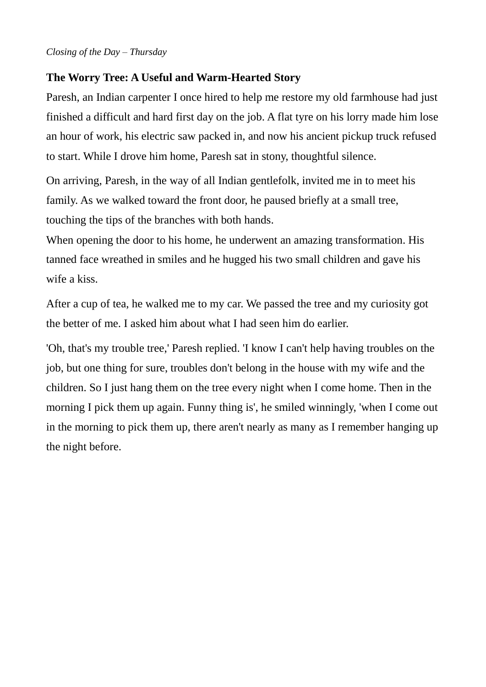### *Closing of the Day – Thursday*

# **The Worry Tree: A Useful and Warm-Hearted Story**

Paresh, an Indian carpenter I once hired to help me restore my old farmhouse had just finished a difficult and hard first day on the job. A flat tyre on his lorry made him lose an hour of work, his electric saw packed in, and now his ancient pickup truck refused to start. While I drove him home, Paresh sat in stony, thoughtful silence.

On arriving, Paresh, in the way of all Indian gentlefolk, invited me in to meet his family. As we walked toward the front door, he paused briefly at a small tree, touching the tips of the branches with both hands.

When opening the door to his home, he underwent an amazing transformation. His tanned face wreathed in smiles and he hugged his two small children and gave his wife a kiss.

After a cup of tea, he walked me to my car. We passed the tree and my curiosity got the better of me. I asked him about what I had seen him do earlier.

'Oh, that's my trouble tree,' Paresh replied. 'I know I can't help having troubles on the job, but one thing for sure, troubles don't belong in the house with my wife and the children. So I just hang them on the tree every night when I come home. Then in the morning I pick them up again. Funny thing is', he smiled winningly, 'when I come out in the morning to pick them up, there aren't nearly as many as I remember hanging up the night before.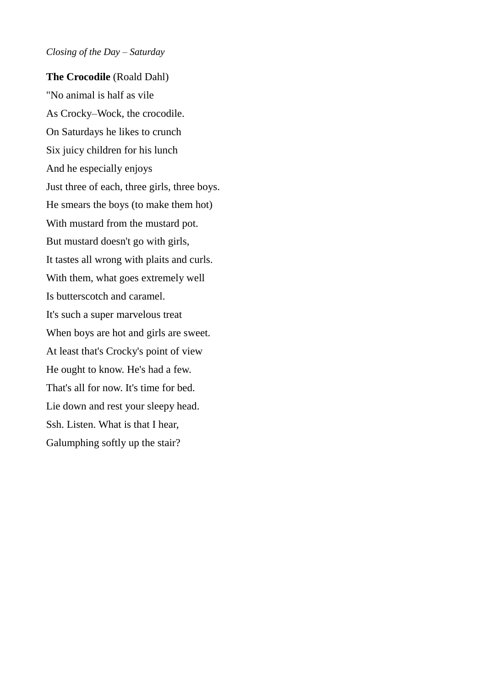#### *Closing of the Day – Saturday*

**The Crocodile** (Roald Dahl) "No animal is half as vile As Crocky–Wock, the crocodile. On Saturdays he likes to crunch Six juicy children for his lunch And he especially enjoys Just three of each, three girls, three boys. He smears the boys (to make them hot) With mustard from the mustard pot. But mustard doesn't go with girls, It tastes all wrong with plaits and curls. With them, what goes extremely well Is butterscotch and caramel. It's such a super marvelous treat When boys are hot and girls are sweet. At least that's Crocky's point of view He ought to know. He's had a few. That's all for now. It's time for bed. Lie down and rest your sleepy head. Ssh. Listen. What is that I hear, Galumphing softly up the stair?